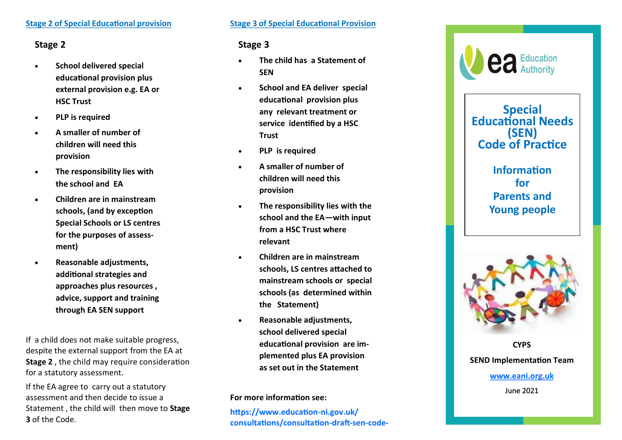### **Stage 2 of Special Educational provision**

## **Stage 2**

- **School delivered special educational provision plus external provision e.g. EA or HSC Trust**
- **PLP is required**
- **A smaller of number of children will need this provision**
- **The responsibility lies with the school and EA**
- **Children are in mainstream schools, (and by exception Special Schools or LS centres for the purposes of assessment)**
- **Reasonable adjustments, additional strategies and approaches plus resources , advice, support and training through EA SEN support**

If a child does not make suitable progress, despite the external support from the EA at **Stage 2** , the child may require consideration for a statutory assessment.

If the EA agree to carry out a statutory assessment and then decide to issue a Statement , the child will then move to **Stage 3** of the Code. **Stage 3 of Special Educational Provision** 

## **Stage 3**

- **The child has a Statement of SEN**
- **School and EA deliver special educational provision plus any relevant treatment or service identified by a HSC Trust**
- **PLP is required**
- **A smaller of number of children will need this provision**
- **The responsibility lies with the school and the EA —with input from a HSC Trust where relevant**
- **Children are in mainstream schools, LS centres attached to mainstream schools or special schools (as determined within the Statement)**
- **Reasonable adjustments, school delivered special educational provision are implemented plus EA provision as set out in the Statement**

**For more information see:** 

**https://www.education -ni.gov.uk/ consultations/consultation -draft -sen -code -**



**Special Educational Needs (SEN) Code of Practice** 

> **Information for Parents and Young people**



**CYPS SEND Implementation Team [www.eani.org.uk](http://www.eani.org.uk)** June 2021